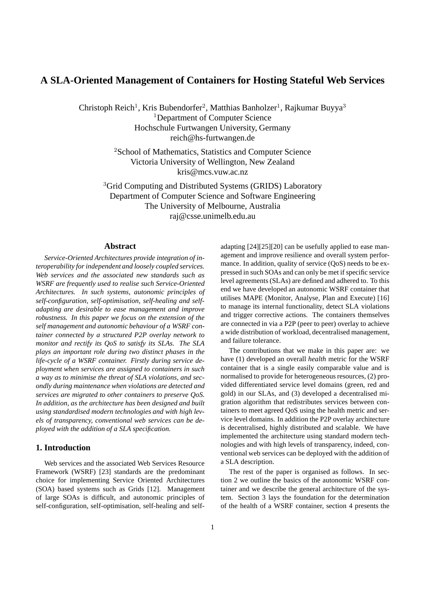# **A SLA-Oriented Management of Containers for Hosting Stateful Web Services**

Christoph Reich<sup>1</sup>, Kris Bubendorfer<sup>2</sup>, Matthias Banholzer<sup>1</sup>, Rajkumar Buyya<sup>3</sup> <sup>1</sup>Department of Computer Science Hochschule Furtwangen University, Germany reich@hs-furtwangen.de

> <sup>2</sup>School of Mathematics, Statistics and Computer Science Victoria University of Wellington, New Zealand kris@mcs.vuw.ac.nz

<sup>3</sup>Grid Computing and Distributed Systems (GRIDS) Laboratory Department of Computer Science and Software Engineering The University of Melbourne, Australia raj@csse.unimelb.edu.au

## **Abstract**

*Service-Oriented Architectures provide integration of interoperability for independent and loosely coupled services. Web services and the associated new standards such as WSRF are frequently used to realise such Service-Oriented Architectures. In such systems, autonomic principles of self-configuration, self-optimisation, self-healing and selfadapting are desirable to ease management and improve robustness. In this paper we focus on the extension of the self management and autonomic behaviour of a WSRF container connected by a structured P2P overlay network to monitor and rectify its QoS to satisfy its SLAs. The SLA plays an important role during two distinct phases in the life-cycle of a WSRF container. Firstly during service deployment when services are assigned to containers in such a way as to minimise the threat of SLA violations, and secondly during maintenance when violations are detected and services are migrated to other containers to preserve QoS. In addition, as the architecture has been designed and built using standardised modern technologies and with high levels of transparency, conventional web services can be deployed with the addition of a SLA specification.*

### **1. Introduction**

Web services and the associated Web Services Resource Framework (WSRF) [23] standards are the predominant choice for implementing Service Oriented Architectures (SOA) based systems such as Grids [12]. Management of large SOAs is difficult, and autonomic principles of self-configuration, self-optimisation, self-healing and selfadapting [24][25][20] can be usefully applied to ease management and improve resilience and overall system performance. In addition, quality of service (QoS) needs to be expressed in such SOAs and can only be met if specific service level agreements (SLAs) are defined and adhered to. To this end we have developed an autonomic WSRF container that utilises MAPE (Monitor, Analyse, Plan and Execute) [16] to manage its internal functionality, detect SLA violations and trigger corrective actions. The containers themselves are connected in via a P2P (peer to peer) overlay to achieve a wide distribution of workload, decentralised management, and failure tolerance.

The contributions that we make in this paper are: we have (1) developed an overall *health* metric for the WSRF container that is a single easily comparable value and is normalised to provide for heterogeneous resources, (2) provided differentiated service level domains (green, red and gold) in our SLAs, and (3) developed a decentralised migration algorithm that redistributes services between containers to meet agreed QoS using the health metric and service level domains. In addition the P2P overlay architecture is decentralised, highly distributed and scalable. We have implemented the architecture using standard modern technologies and with high levels of transparency, indeed, conventional web services can be deployed with the addition of a SLA description.

The rest of the paper is organised as follows. In section 2 we outline the basics of the autonomic WSRF container and we describe the general architecture of the system. Section 3 lays the foundation for the determination of the health of a WSRF container, section 4 presents the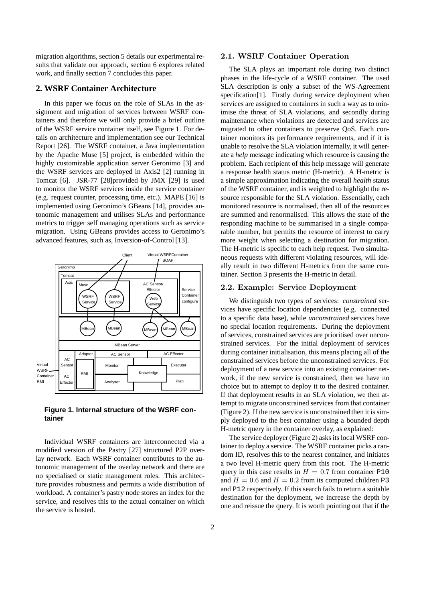migration algorithms, section 5 details our experimental results that validate our approach, section 6 explores related work, and finally section 7 concludes this paper.

### **2. WSRF Container Architecture**

In this paper we focus on the role of SLAs in the assignment and migration of services between WSRF containers and therefore we will only provide a brief outline of the WSRF service container itself, see Figure 1. For details on architecture and implementation see our Technical Report [26]. The WSRF container, a Java implementation by the Apache Muse [5] project, is embedded within the highly customizable application server Geronimo [3] and the WSRF services are deployed in Axis2 [2] running in Tomcat [6]. JSR-77 [28]provided by JMX [29] is used to monitor the WSRF services inside the service container (e.g. request counter, processing time, etc.). MAPE [16] is implemented using Geronimo's GBeans [14], provides autonomic management and utilises SLAs and performance metrics to trigger self managing operations such as service migration. Using GBeans provides access to Geronimo's advanced features, such as, Inversion-of-Control [13].



## **Figure 1. Internal structure of the WSRF container**

Individual WSRF containers are interconnected via a modified version of the Pastry [27] structured P2P overlay network. Each WSRF container contributes to the autonomic management of the overlay network and there are no specialised or static management roles. This architecture provides robustness and permits a wide distribution of workload. A container's pastry node stores an index for the service, and resolves this to the actual container on which the service is hosted.

#### 2.1. WSRF Container Operation

The SLA plays an important role during two distinct phases in the life-cycle of a WSRF container. The used SLA description is only a subset of the WS-Agreement specification[1]. Firstly during service deployment when services are assigned to containers in such a way as to minimise the threat of SLA violations, and secondly during maintenance when violations are detected and services are migrated to other containers to preserve QoS. Each container monitors its performance requirements, and if it is unable to resolve the SLA violation internally, it will generate a *help* message indicating which resource is causing the problem. Each recipient of this help message will generate a response health status metric (H-metric). A H-metric is a simple approximation indicating the overall *health* status of the WSRF container, and is weighted to highlight the resource responsible for the SLA violation. Essentially, each monitored resource is normalised, then all of the resources are summed and renormalised. This allows the state of the responding machine to be summarised in a single comparable number, but permits the resource of interest to carry more weight when selecting a destination for migration. The H-metric is specific to each help request. Two simultaneous requests with different violating resources, will ideally result in two different H-metrics from the same container. Section 3 presents the H-metric in detail.

### 2.2. Example: Service Deployment

We distinguish two types of services: *constrained* services have specific location dependencies (e.g. connected to a specific data base), while *unconstrained* services have no special location requirements. During the deployment of services, constrained services are prioritised over unconstrained services. For the initial deployment of services during container initialisation, this means placing all of the constrained services before the unconstrained services. For deployment of a new service into an existing container network, if the new service is constrained, then we have no choice but to attempt to deploy it to the desired container. If that deployment results in an SLA violation, we then attempt to migrate unconstrained services from that container (Figure 2). If the new service is unconstrained then it is simply deployed to the best container using a bounded depth H-metric query in the container overlay, as explained:

The service deployer (Figure 2) asks its local WSRF container to deploy a service. The WSRF container picks a random ID, resolves this to the nearest container, and initiates a two level H-metric query from this root. The H-metric query in this case results in  $H = 0.7$  from container P10 and  $H = 0.6$  and  $H = 0.2$  from its computed children P3 and P12 respectively. If this search fails to return a suitable destination for the deployment, we increase the depth by one and reissue the query. It is worth pointing out that if the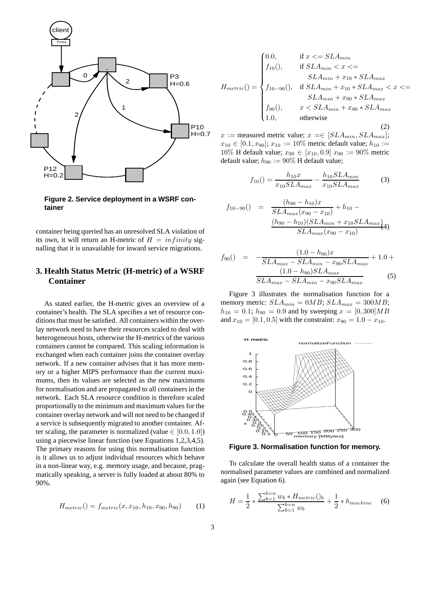

**Figure 2. Service deployment in a WSRF container**

container being queried has an unresolved SLA violation of its own, it will return an H-metric of  $H = infinity$  signalling that it is unavailable for inward service migrations.

# **3. Health Status Metric (H-metric) of a WSRF Container**

As stated earlier, the H-metric gives an overview of a container's health. The SLA specifies a set of resource conditions that must be satisfied. All containers within the overlay network need to have their resources scaled to deal with heterogeneous hosts, otherwise the H-metrics of the various containers cannot be compared. This scaling information is exchanged when each container joins the container overlay network. If a new container advises that it has more memory or a higher MIPS performance than the current maximums, then its values are selected as the new maximums for normalisation and are propagated to all containers in the network. Each SLA resource condition is therefore scaled proportionally to the minimum and maximum values for the container overlay network and will not need to be changed if a service is subsequently migrated to another container. After scaling, the parameter is normalized (value  $\in [0.0, 1.0]$ ) using a piecewise linear function (see Equations 1,2,3,4,5). The primary reasons for using this normalisation function is it allows us to adjust individual resources which behave in a non-linear way, e.g. memory usage, and because, pragmatically speaking, a server is fully loaded at about 80% to 90%.

$$
H_{metric}( ) = f_{metric}(x, x_{10}, h_{10}, x_{90}, h_{90}) \tag{1}
$$

$$
H_{metric}() = \begin{cases} 0.0, & \text{if } x <= SLA_{min} \\ f_{10}(), & \text{if } SLA_{min} < x <= \\ SLA_{min} + x_{10} * SLA_{max} \\ f_{10-90}(), & \text{if } SLA_{min} + x_{10} * SLA_{max} < x <= \\ SLA_{min} + x_{90} * SLA_{max} \\ f_{90}(), & x < SLA_{min} + x_{90} * SLA_{max} \\ 1.0, & \text{otherwise} \end{cases} \tag{2}
$$

x := measured metric value;  $x = \in [SLA_{min}, SLA_{max}]$ ;  $x_{10} \in [0.1, x_{90}]$ ;  $x_{10} := 10\%$  metric default value;  $h_{10} :=$ 10% H default value;  $x_{90} \in [x_{10}, 0.9]$   $x_{90} := 90\%$  metric default value;  $h_{90} := 90\%$  H default value;

$$
f_{10}() = \frac{h_{10}x}{x_{10}SLA_{max}} - \frac{h_{10}SLA_{min}}{x_{10}SLA_{max}} \tag{3}
$$

$$
f_{10-90}() = \frac{(h_{90} - h_{10})x}{SLA_{max}(x_{90} - x_{10})} + h_{10} - \frac{(h_{90} - h_{10})(SLA_{min} + x_{10}SLA_{max})}{SLA_{max}(x_{90} - x_{10})}(4)
$$

$$
f_{90}() = -\frac{(1.0 - h_{90})x}{SLA_{max} - SLA_{min} - x_{90}SLA_{max}} + 1.0 + \frac{(1.0 - h_{90})SLA_{max}}{SLA_{max} - SLA_{min} - x_{90}SLA_{max}}
$$
(5)

Figure 3 illustrates the normalisation function for a memory metric:  $SLA_{min} = 0MB$ ;  $SLA_{max} = 300MB$ ;  $h_{10} = 0.1$ ;  $h_{90} = 0.9$  and by sweeping  $x = [0, 300]MB$ and  $x_{10} = [0.1, 0.5]$  with the constraint:  $x_{90} = 1.0 - x_{10}$ .



**Figure 3. Normalisation function for memory.**

To calculate the overall health status of a container the normalised parameter values are combined and normalized again (see Equation 6).

$$
H = \frac{1}{2} * \frac{\sum_{b=1}^{b=n} w_b * H_{metric}(b_b)}{\sum_{b=1}^{b=n} w_b} + \frac{1}{2} * h_{machine}
$$
 (6)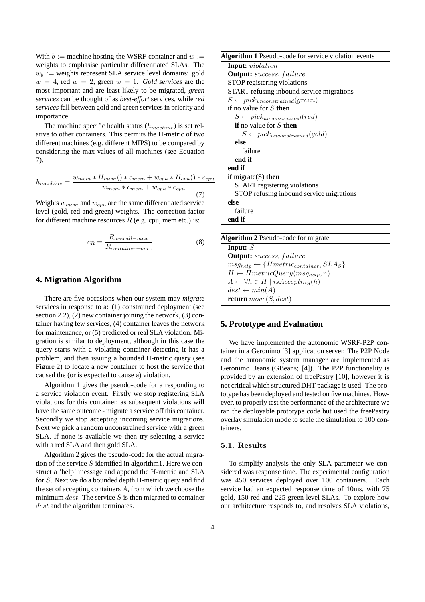With  $b :=$  machine hosting the WSRF container and  $w :=$ weights to emphasise particular differentiated SLAs. The  $w_b :=$  weights represent SLA service level domains: gold  $w = 4$ , red  $w = 2$ , green  $w = 1$ . *Gold services* are the most important and are least likely to be migrated, *green services* can be thought of as *best-effort* services, while *red services* fall between gold and green services in priority and importance.

The machine specific health status  $(h_{machine})$  is set relative to other containers. This permits the H-metric of two different machines (e.g. different MIPS) to be compared by considering the max values of all machines (see Equation 7).

$$
h_{machine} = \frac{w_{mem} * H_{mem}() * c_{mem} + w_{cpu} * H_{cpu}() * c_{cpu}}{w_{mem} * c_{mem} + w_{cpu} * c_{cpu}}
$$
(7)

Weights  $w_{mem}$  and  $w_{cpu}$  are the same differentiated service level (gold, red and green) weights. The correction factor for different machine resources  $R$  (e.g. cpu, mem etc.) is:

$$
c_R = \frac{R_{overall-max}}{R_{container-max}}\tag{8}
$$

## **4. Migration Algorithm**

There are five occasions when our system may *migrate* services in response to a: (1) constrained deployment (see section 2.2), (2) new container joining the network, (3) container having few services, (4) container leaves the network for maintenance, or (5) predicted or real SLA violation. Migration is similar to deployment, although in this case the query starts with a violating container detecting it has a problem, and then issuing a bounded H-metric query (see Figure 2) to locate a new container to host the service that caused the (or is expected to cause a) violation.

Algorithm 1 gives the pseudo-code for a responding to a service violation event. Firstly we stop registering SLA violations for this container, as subsequent violations will have the same outcome - migrate a service off this container. Secondly we stop accepting incoming service migrations. Next we pick a random unconstrained service with a green SLA. If none is available we then try selecting a service with a red SLA and then gold SLA.

Algorithm 2 gives the pseudo-code for the actual migration of the service  $S$  identified in algorithm1. Here we construct a 'help' message and append the H-metric and SLA for S. Next we do a bounded depth H-metric query and find the set of accepting containers A, from which we choose the minimum *dest*. The service  $S$  is then migrated to container dest and the algorithm terminates.

| Algorithm 1 Pseudo-code for service violation events |  |  |  |  |  |
|------------------------------------------------------|--|--|--|--|--|
|------------------------------------------------------|--|--|--|--|--|

**Input:** violation **Output:** success, failure STOP registering violations START refusing inbound service migrations  $S \leftarrow pick_{unconstrained}(green)$ **if** no value for S **then**  $S \leftarrow pick_{unconstrained}(red)$ **if** no value for S **then**  $S \leftarrow pickunconstrained(gold)$ **else** failure **end if end if if** migrate(S) **then** START registering violations STOP refusing inbound service migrations **else** failure **end if**

| <b>Algorithm 2</b> Pseudo-code for migrate            |  |
|-------------------------------------------------------|--|
| Input: $S$                                            |  |
| <b>Output:</b> success, failure                       |  |
| $msg_{help} \leftarrow \{Hmetric_{container}, SLAs\}$ |  |
| $H \leftarrow HmetricQuery(msg_{help}, n)$            |  |
| $A \leftarrow \forall h \in H \mid isAccepting(h)$    |  |
| $dest \leftarrow min(A)$                              |  |
| <b>return</b> $move(S, dest)$                         |  |

### **5. Prototype and Evaluation**

We have implemented the autonomic WSRF-P2P container in a Geronimo [3] application server. The P2P Node and the autonomic system manager are implemented as Geronimo Beans (GBeans; [4]). The P2P functionality is provided by an extension of freePastry [10], however it is not critical which structured DHT package is used. The prototype has been deployed and tested on five machines. However, to properly test the performance of the architecture we ran the deployable prototype code but used the freePastry overlay simulation mode to scale the simulation to 100 containers.

### 5.1. Results

To simplify analysis the only SLA parameter we considered was response time. The experimental configuration was 450 services deployed over 100 containers. Each service had an expected response time of 10ms, with 75 gold, 150 red and 225 green level SLAs. To explore how our architecture responds to, and resolves SLA violations,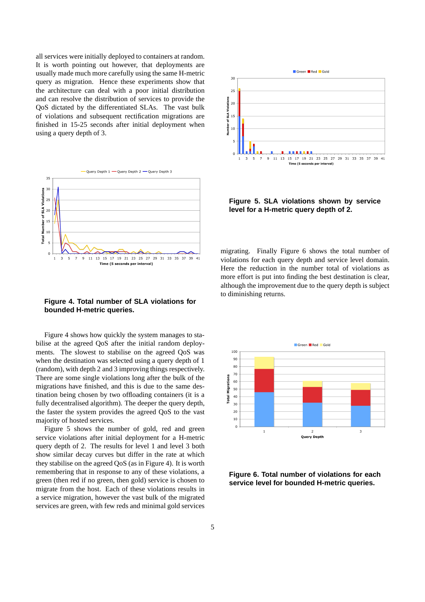all services were initially deployed to containers at random. It is worth pointing out however, that deployments are usually made much more carefully using the same H-metric query as migration. Hence these experiments show that the architecture can deal with a poor initial distribution and can resolve the distribution of services to provide the QoS dictated by the differentiated SLAs. The vast bulk of violations and subsequent rectification migrations are finished in 15-25 seconds after initial deployment when using a query depth of 3.



**Figure 4. Total number of SLA violations for bounded H-metric queries.**

Figure 4 shows how quickly the system manages to stabilise at the agreed QoS after the initial random deployments. The slowest to stabilise on the agreed QoS was when the destination was selected using a query depth of 1 (random), with depth 2 and 3 improving things respectively. There are some single violations long after the bulk of the migrations have finished, and this is due to the same destination being chosen by two offloading containers (it is a fully decentralised algorithm). The deeper the query depth, the faster the system provides the agreed QoS to the vast majority of hosted services.

Figure 5 shows the number of gold, red and green service violations after initial deployment for a H-metric query depth of 2. The results for level 1 and level 3 both show similar decay curves but differ in the rate at which they stabilise on the agreed QoS (as in Figure 4). It is worth remembering that in response to any of these violations, a green (then red if no green, then gold) service is chosen to migrate from the host. Each of these violations results in a service migration, however the vast bulk of the migrated services are green, with few reds and minimal gold services



**Figure 5. SLA violations shown by service level for a H-metric query depth of 2.**

migrating. Finally Figure 6 shows the total number of violations for each query depth and service level domain. Here the reduction in the number total of violations as more effort is put into finding the best destination is clear, although the improvement due to the query depth is subject to diminishing returns.



**Figure 6. Total number of violations for each service level for bounded H-metric queries.**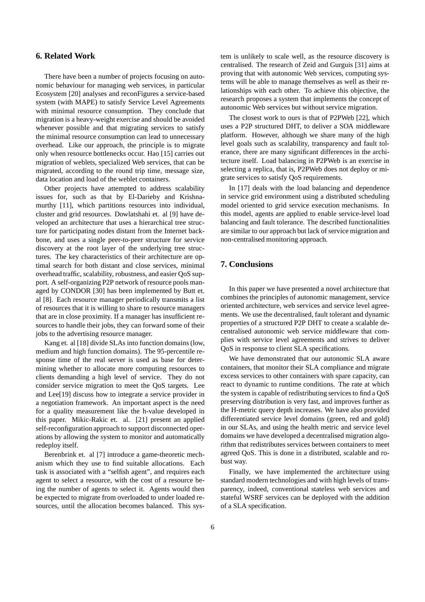## **6. Related Work**

There have been a number of projects focusing on autonomic behaviour for managing web services, in particular Ecosystem [20] analyses and reconFigures a service-based system (with MAPE) to satisfy Service Level Agreements with minimal resource consumption. They conclude that migration is a heavy-weight exercise and should be avoided whenever possible and that migrating services to satisfy the minimal resource consumption can lead to unnecessary overhead. Like our approach, the principle is to migrate only when resource bottlenecks occur. Hao [15] carries out migration of weblets, specialized Web services, that can be migrated, according to the round trip time, message size, data location and load of the weblet containers.

Other projects have attempted to address scalability issues for, such as that by El-Darieby and Krishnamurthy [11], which partitions resources into individual, cluster and grid resources. Dowlatshahi et. al [9] have developed an architecture that uses a hierarchical tree structure for participating nodes distant from the Internet backbone, and uses a single peer-to-peer structure for service discovery at the root layer of the underlying tree structures. The key characteristics of their architecture are optimal search for both distant and close services, minimal overhead traffic, scalability, robustness, and easier QoS support. A self-organizing P2P network of resource pools managed by CONDOR [30] has been implemented by Butt et. al [8]. Each resource manager periodically transmits a list of resources that it is willing to share to resource managers that are in close proximity. If a manager has insufficient resources to handle their jobs, they can forward some of their jobs to the advertising resource manager.

Kang et. al [18] divide SLAs into function domains (low, medium and high function domains). The 95-percentile response time of the real server is used as base for determining whether to allocate more computing resources to clients demanding a high level of service. They do not consider service migration to meet the QoS targets. Lee and Lee[19] discuss how to integrate a service provider in a negotiation framework. An important aspect is the need for a quality measurement like the h-value developed in this paper. Mikic-Rakic et. al. [21] present an applied self-reconfiguration approach to support disconnected operations by allowing the system to monitor and automatically redeploy itself.

Berenbrink et. al [7] introduce a game-theoretic mechanism which they use to find suitable allocations. Each task is associated with a "selfish agent", and requires each agent to select a resource, with the cost of a resource being the number of agents to select it. Agents would then be expected to migrate from overloaded to under loaded resources, until the allocation becomes balanced. This system is unlikely to scale well, as the resource discovery is centralised. The research of Zeid and Gurguis [31] aims at proving that with autonomic Web services, computing systems will be able to manage themselves as well as their relationships with each other. To achieve this objective, the research proposes a system that implements the concept of autonomic Web services but without service migration.

The closest work to ours is that of P2PWeb [22], which uses a P2P structured DHT, to deliver a SOA middleware platform. However, although we share many of the high level goals such as scalability, transparency and fault tolerance, there are many significant differences in the architecture itself. Load balancing in P2PWeb is an exercise in selecting a replica, that is, P2PWeb does not deploy or migrate services to satisfy QoS requirements.

In [17] deals with the load balancing and dependence in service grid environment using a distributed scheduling model oriented to grid service execution mechanisms. In this model, agents are applied to enable service-level load balancing and fault tolerance. The described functionalities are similar to our approach but lack of service migration and non-centralised monitoring approach.

## **7. Conclusions**

In this paper we have presented a novel architecture that combines the principles of autonomic management, service oriented architecture, web services and service level agreements. We use the decentralised, fault tolerant and dynamic properties of a structured P2P DHT to create a scalable decentralised autonomic web service middleware that complies with service level agreements and strives to deliver QoS in response to client SLA specifications.

We have demonstrated that our autonomic SLA aware containers, that monitor their SLA compliance and migrate excess services to other containers with spare capacity, can react to dynamic to runtime conditions. The rate at which the system is capable of redistributing services to find a QoS preserving distribution is very fast, and improves further as the H-metric query depth increases. We have also provided differentiated service level domains (green, red and gold) in our SLAs, and using the health metric and service level domains we have developed a decentralised migration algorithm that redistributes services between containers to meet agreed QoS. This is done in a distributed, scalable and robust way.

Finally, we have implemented the architecture using standard modern technologies and with high levels of transparency, indeed, conventional stateless web services and stateful WSRF services can be deployed with the addition of a SLA specification.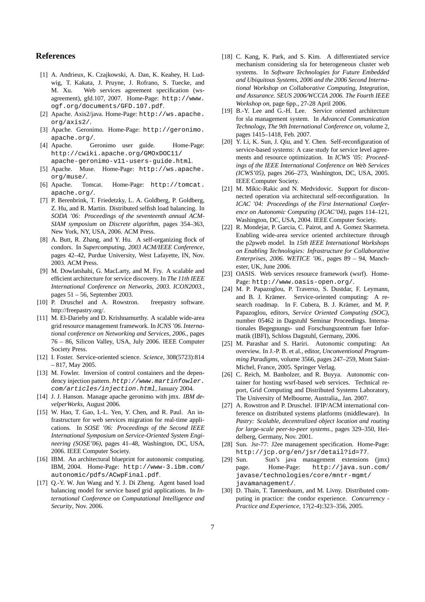## **References**

- [1] A. Andrieux, K. Czajkowski, A. Dan, K. Keahey, H. Ludwig, T. Kakata, J. Pruyne, J. Rofrano, S. Tuecke, and M. Xu. Web services agreement specification (wsagreement), gfd.107, 2007. Home-Page: http://www. ogf.org/documents/GFD.107.pdf.
- [2] Apache. Axis2/java. Home-Page: http://ws.apache. org/axis2/.
- [3] Apache. Geronimo. Home-Page: http://geronimo. apache.org/.
- [4] Apache. Geronimo user guide. Home-Page: http://cwiki.apache.org/GMOxDOC11/ apache-geronimo-v11-users-guide.html.
- [5] Apache. Muse. Home-Page: http://ws.apache. org/muse/.
- [6] Apache. Tomcat. Home-Page: http://tomcat. apache.org/.
- [7] P. Berenbrink, T. Friedetzky, L. A. Goldberg, P. Goldberg, Z. Hu, and R. Martin. Distributed selfish load balancing. In *SODA '06: Proceedings of the seventeenth annual ACM-SIAM symposium on Discrete algorithm*, pages 354–363, New York, NY, USA, 2006. ACM Press.
- [8] A. Butt, R. Zhang, and Y. Hu. A self-organizing flock of condors. In *Supercomputing, 2003 ACM/IEEE Conference*, pages 42–42, Purdue University, West Lafayette, IN, Nov. 2003. ACM Press.
- [9] M. Dowlatshahi, G. MacLarty, and M. Fry. A scalable and efficient architecture for service discovery. In *The 11th IEEE International Conference on Networks, 2003. ICON2003.*, pages 51 – 56, September 2003.
- [10] P. Druschel and A. Rowstron. freepastry software. http://freepastry.org/.
- [11] M. El-Darieby and D. Krishnamurthy. A scalable wide-area grid resource management framework. In *ICNS '06. International conference on Networking and Services, 2006.*, pages 76 – 86, Silicon Valley, USA, July 2006. IEEE Computer Society Press.
- [12] I. Foster. Service-oriented science. *Science*, 308(5723):814 – 817, May 2005.
- [13] M. Fowler. Inversion of control containers and the dependency injection pattern. http://www.martinfowler. com/articles/injection.html, January 2004.
- [14] J. J. Hanson. Manage apache geronimo with jmx. *IBM develperWorks*, August 2006.
- [15] W. Hao, T. Gao, I.-L. Yen, Y. Chen, and R. Paul. An infrastructure for web services migration for real-time applications. In *SOSE '06: Proceedings of the Second IEEE International Symposium on Service-Oriented System Engineering (SOSE'06)*, pages 41–48, Washington, DC, USA, 2006. IEEE Computer Society.
- [16] IBM. An architectural blueprint for autonomic computing. IBM, 2004. Home-Page: http://www-3.ibm.com/ autonomic/pdfs/ACwpFinal.pdf.
- [17] Q.-Y. W. Jun Wang and Y. J. Di Zheng. Agent based load balancing model for service based grid applications. In *International Conference on Computational Intelligence and Security*, Nov. 2006.
- [18] C. Kang, K. Park, and S. Kim. A differentiated service mechanism considering sla for heterogeneous cluster web systems. In *Software Technologies for Future Embedded and Ubiquitous Systems, 2006 and the 2006 Second International Workshop on Collaborative Computing, Integration, and Assurance. SEUS 2006/WCCIA 2006. The Fourth IEEE Workshop on*, page 6pp., 27-28 April 2006.
- [19] B.-Y. Lee and G.-H. Lee. Service oriented architecture for sla management system. In *Advanced Communication Technology, The 9th International Conference on*, volume 2, pages 1415–1418, Feb. 2007.
- [20] Y. Li, K. Sun, J. Qiu, and Y. Chen. Self-reconfiguration of service-based systems: A case study for service level agreements and resource optimization. In *ICWS '05: Proceedings of the IEEE International Conference on Web Services (ICWS'05)*, pages 266–273, Washington, DC, USA, 2005. IEEE Computer Society.
- [21] M. Mikic-Rakic and N. Medvidovic. Support for disconnected operation via architectural self-reconfiguration. In *ICAC '04: Proceedings of the First International Conference on Autonomic Computing (ICAC'04)*, pages 114–121, Washington, DC, USA, 2004. IEEE Computer Society.
- [22] R. Mondejar, P. Garcia, C. Pairot, and A. Gomez Skarmeta. Enabling wide-area service oriented architecture through the p2pweb model. In *15th IEEE International Workshops on Enabling Technologies: Infrastructure for Collaborative Enterprises, 2006. WETICE '06.*, pages 89 – 94, Manchester, UK, June 2006.
- [23] OASIS. Web services resource framework (wsrf). Home-Page: http://www.oasis-open.org/.
- [24] M. P. Papazoglou, P. Traverso, S. Dustdar, F. Leymann, and B. J. Krämer. Service-oriented computing: A research roadmap. In F. Cubera, B. J. Krämer, and M. P. Papazoglou, editors, *Service Oriented Computing (SOC)*, number 05462 in Dagstuhl Seminar Proceedings. Internationales Begegnungs- und Forschungszentrum fuer Informatik (IBFI), Schloss Dagstuhl, Germany, 2006.
- [25] M. Parashar and S. Hariri. Autonomic computing: An overview. In J.-P. B. et al., editor, *Unconventional Programming Paradigms*, volume 3566, pages 247–259, Mont Saint-Michel, France, 2005. Springer Verlag.
- [26] C. Reich, M. Banholzer, and R. Buyya. Autonomic container for hosting wsrf-based web services. Technical report, Grid Computing and Distributed Systems Laboratory, The University of Melbourne, Australia,, Jan. 2007.
- [27] A. Rowstron and P. Druschel. IFIP/ACM international conference on distributed systems platforms (middleware). In *Pastry: Scalable, decentralized object location and routing for large-scale peer-to-peer systems.*, pages 329–350, Heidelberg, Germany, Nov. 2001.
- [28] Sun. Jsr-77: J2ee management specification. Home-Page: http://jcp.org/en/jsr/detail?id=77.
- [29] Sun. Sun's java management extensions (jmx) page. Home-Page: http://java.sun.com/ javase/technologies/core/mntr-mgmt/ javamanagement/.
- [30] D. Thain, T. Tannenbaum, and M. Livny. Distributed computing in practice: the condor experience. *Concurrency - Practice and Experience*, 17(2-4):323–356, 2005.